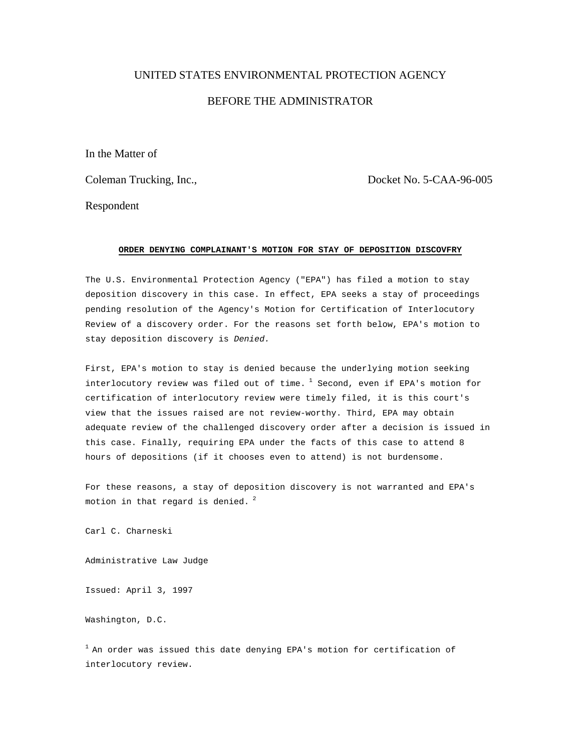## UNITED STATES ENVIRONMENTAL PROTECTION AGENCY BEFORE THE ADMINISTRATOR

In the Matter of

Coleman Trucking, Inc., Docket No. 5-CAA-96-005

Respondent

## **ORDER DENYING COMPLAINANT'S MOTION FOR STAY OF DEPOSITION DISCOVFRY**

The U.S. Environmental Protection Agency ("EPA") has filed a motion to stay deposition discovery in this case. In effect, EPA seeks a stay of proceedings pending resolution of the Agency's Motion for Certification of Interlocutory Review of a discovery order. For the reasons set forth below, EPA's motion to stay deposition discovery is *Denied.*

First, EPA's motion to stay is denied because the underlying motion seeking interlocutory review was filed out of time.  $1$  Second, even if EPA's motion for certification of interlocutory review were timely filed, it is this court's view that the issues raised are not review-worthy. Third, EPA may obtain adequate review of the challenged discovery order after a decision is issued in this case. Finally, requiring EPA under the facts of this case to attend 8 hours of depositions (if it chooses even to attend) is not burdensome.

For these reasons, a stay of deposition discovery is not warranted and EPA's motion in that regard is denied.  $2$ 

Carl C. Charneski

Administrative Law Judge

Issued: April 3, 1997

Washington, D.C.

 $1$  An order was issued this date denying EPA's motion for certification of interlocutory review.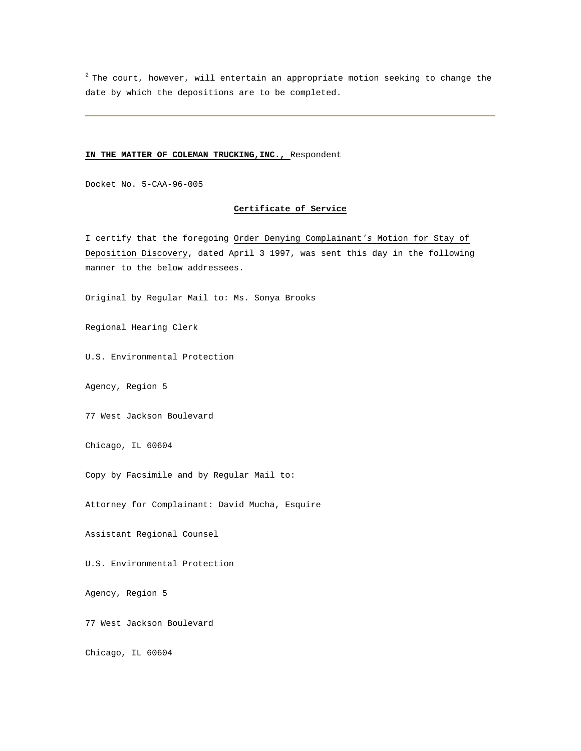$2$  The court, however, will entertain an appropriate motion seeking to change the date by which the depositions are to be completed.

## **IN THE MATTER OF COLEMAN TRUCKING,INC.,** Respondent

Docket No. 5-CAA-96-005

## **Certificate of Service**

I certify that the foregoing Order Denying Complainant*'s* Motion for Stay of Deposition Discovery, dated April 3 1997, was sent this day in the following manner to the below addressees.

Original by Regular Mail to: Ms. Sonya Brooks

Regional Hearing Clerk

U.S. Environmental Protection

Agency, Region 5

77 West Jackson Boulevard

Chicago, IL 60604

Copy by Facsimile and by Regular Mail to:

Attorney for Complainant: David Mucha, Esquire

Assistant Regional Counsel

U.S. Environmental Protection

Agency, Region 5

77 West Jackson Boulevard

Chicago, IL 60604